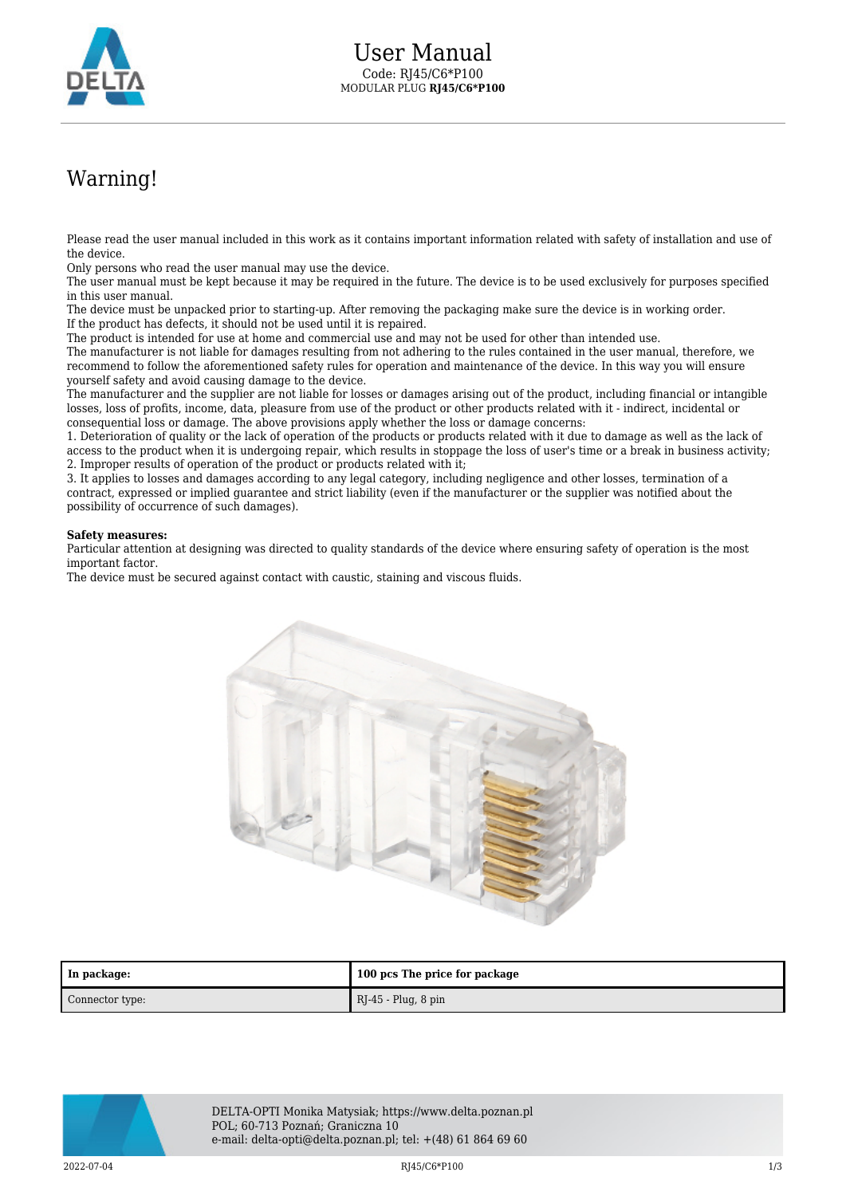

## Warning!

Please read the user manual included in this work as it contains important information related with safety of installation and use of the device.

Only persons who read the user manual may use the device.

The user manual must be kept because it may be required in the future. The device is to be used exclusively for purposes specified in this user manual.

The device must be unpacked prior to starting-up. After removing the packaging make sure the device is in working order. If the product has defects, it should not be used until it is repaired.

The product is intended for use at home and commercial use and may not be used for other than intended use.

The manufacturer is not liable for damages resulting from not adhering to the rules contained in the user manual, therefore, we recommend to follow the aforementioned safety rules for operation and maintenance of the device. In this way you will ensure yourself safety and avoid causing damage to the device.

The manufacturer and the supplier are not liable for losses or damages arising out of the product, including financial or intangible losses, loss of profits, income, data, pleasure from use of the product or other products related with it - indirect, incidental or consequential loss or damage. The above provisions apply whether the loss or damage concerns:

1. Deterioration of quality or the lack of operation of the products or products related with it due to damage as well as the lack of access to the product when it is undergoing repair, which results in stoppage the loss of user's time or a break in business activity; 2. Improper results of operation of the product or products related with it;

3. It applies to losses and damages according to any legal category, including negligence and other losses, termination of a contract, expressed or implied guarantee and strict liability (even if the manufacturer or the supplier was notified about the possibility of occurrence of such damages).

## **Safety measures:**

Particular attention at designing was directed to quality standards of the device where ensuring safety of operation is the most important factor.

The device must be secured against contact with caustic, staining and viscous fluids.



| In package:     | 100 pcs The price for package |
|-----------------|-------------------------------|
| Connector type: | RJ-45 - Plug, 8 pin           |



DELTA-OPTI Monika Matysiak; https://www.delta.poznan.pl POL; 60-713 Poznań; Graniczna 10 e-mail: delta-opti@delta.poznan.pl; tel: +(48) 61 864 69 60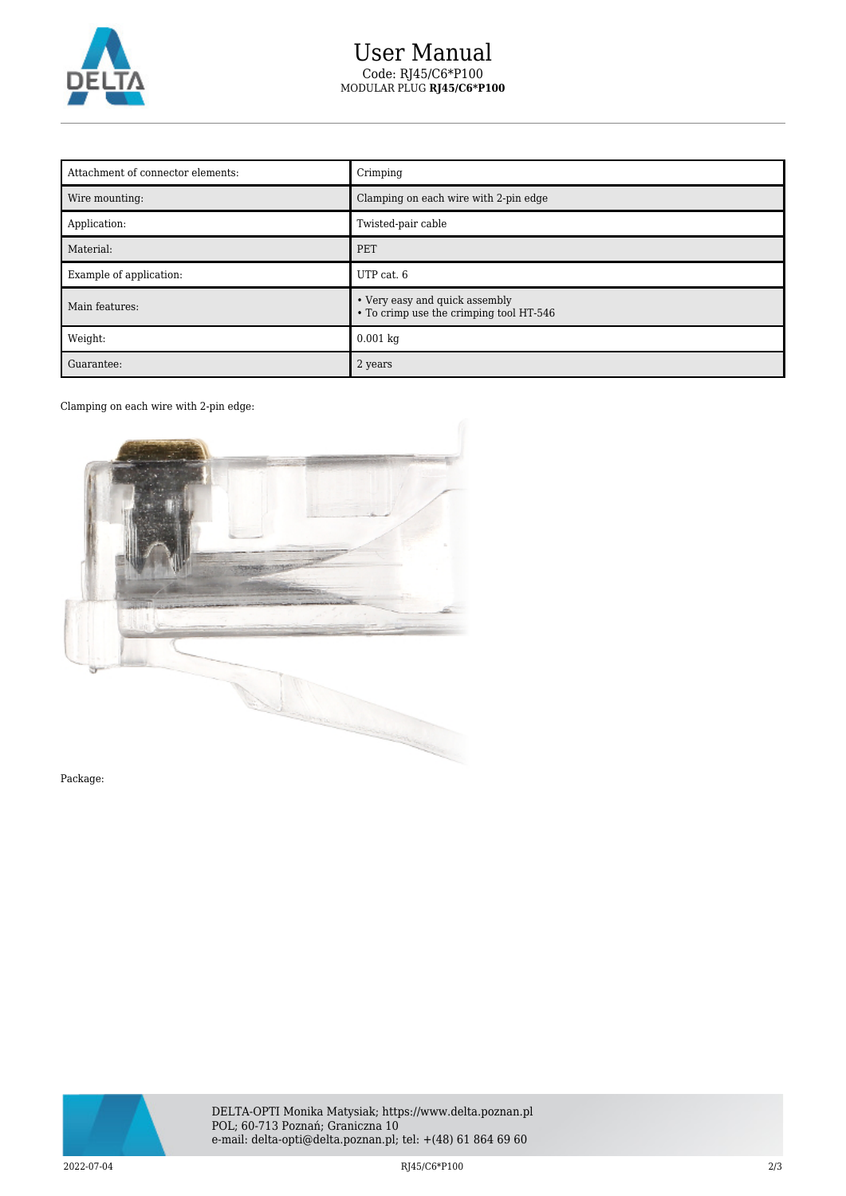

## User Manual Code: RJ45/C6\*P100 MODULAR PLUG **RJ45/C6\*P100**

| Attachment of connector elements: | Crimping                                                                  |
|-----------------------------------|---------------------------------------------------------------------------|
| Wire mounting:                    | Clamping on each wire with 2-pin edge                                     |
| Application:                      | Twisted-pair cable                                                        |
| Material:                         | <b>PET</b>                                                                |
| Example of application:           | UTP cat. 6                                                                |
| Main features:                    | • Very easy and quick assembly<br>• To crimp use the crimping tool HT-546 |
| Weight:                           | $0.001$ kg                                                                |
| Guarantee:                        | 2 years                                                                   |

## Clamping on each wire with 2-pin edge:



Package: